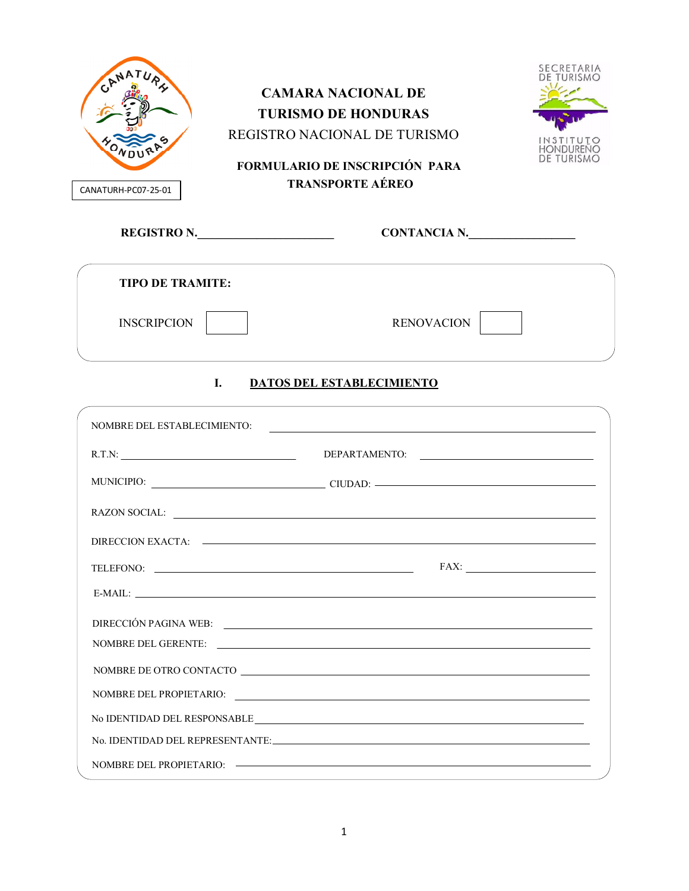| CANATURH-PC07-25-01                | <b>CAMARA NACIONAL DE</b><br><b>TURISMO DE HONDURAS</b><br>REGISTRO NACIONAL DE TURISMO<br><b>FORMULARIO DE INSCRIPCIÓN PARA</b><br><b>TRANSPORTE AÉREO</b> | SECRETARIA<br>HONDURENG<br>DE TURISMO |
|------------------------------------|-------------------------------------------------------------------------------------------------------------------------------------------------------------|---------------------------------------|
|                                    | CONTANCIA N.<br>REGISTRO N.                                                                                                                                 |                                       |
| <b>TIPO DE TRAMITE:</b>            |                                                                                                                                                             |                                       |
| <b>INSCRIPCION</b>                 | <b>RENOVACION</b>                                                                                                                                           |                                       |
|                                    | L.<br><b>DATOS DEL ESTABLECIMIENTO</b>                                                                                                                      |                                       |
| <b>NOMBRE DEL ESTABLECIMIENTO:</b> | <u> 1989 - Jan Barbara de Santo III e al Indonesia de la contrada de la contrada de la contrada de la contrada de</u>                                       |                                       |
|                                    |                                                                                                                                                             |                                       |
|                                    | MUNICIPIO: CIUDAD: CIUDAD:                                                                                                                                  |                                       |
|                                    |                                                                                                                                                             |                                       |
|                                    |                                                                                                                                                             |                                       |
|                                    | TELEFONO:                                                                                                                                                   |                                       |
|                                    |                                                                                                                                                             |                                       |
|                                    | DIRECCIÓN PAGINA WEB:                                                                                                                                       |                                       |
|                                    | NOMBRE DEL GERENTE:                                                                                                                                         |                                       |
|                                    | NOMBRE DE OTRO CONTACTO                                                                                                                                     |                                       |
|                                    |                                                                                                                                                             |                                       |
|                                    | $\label{eq:nonre} \begin{minipage}[c]{0.9\linewidth} No IDENTIDAD DEL RESPONSABLE \underline{\hspace{1cm}} \underline{\hspace{1cm}}$                        |                                       |
|                                    | No. IDENTIDAD DEL REPRESENTANTE:                                                                                                                            |                                       |
|                                    |                                                                                                                                                             |                                       |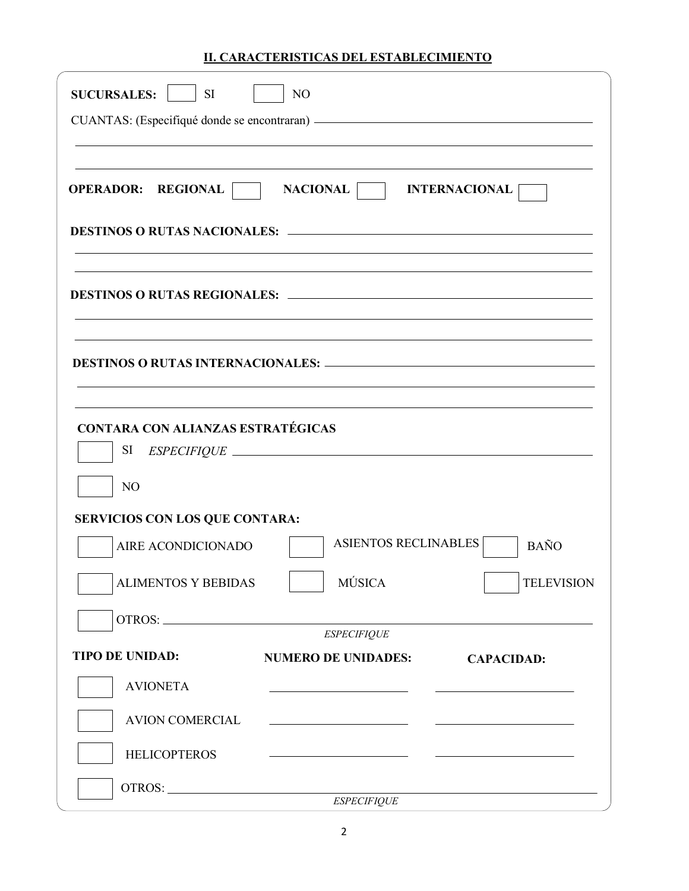## **II. CARACTERISTICAS DEL ESTABLECIMIENTO**

| <b>SUCURSALES:</b><br><b>SI</b>                                  | N <sub>O</sub>                                                                                                                                                                                                                       |                      |
|------------------------------------------------------------------|--------------------------------------------------------------------------------------------------------------------------------------------------------------------------------------------------------------------------------------|----------------------|
|                                                                  |                                                                                                                                                                                                                                      |                      |
|                                                                  |                                                                                                                                                                                                                                      |                      |
| <b>OPERADOR: REGIONAL</b>                                        | <b>NACIONAL</b>                                                                                                                                                                                                                      | <b>INTERNACIONAL</b> |
|                                                                  |                                                                                                                                                                                                                                      |                      |
|                                                                  |                                                                                                                                                                                                                                      |                      |
|                                                                  |                                                                                                                                                                                                                                      |                      |
| <b>CONTARA CON ALIANZAS ESTRATÉGICAS</b><br>SI<br>N <sub>O</sub> | ESPECIFIQUE                                                                                                                                                                                                                          |                      |
| <b>SERVICIOS CON LOS QUE CONTARA:</b>                            |                                                                                                                                                                                                                                      |                      |
| AIRE ACONDICIONADO                                               | <b>ASIENTOS RECLINABLES</b>                                                                                                                                                                                                          | <b>BAÑO</b>          |
| <b>ALIMENTOS Y BEBIDAS</b>                                       | <b>MÚSICA</b>                                                                                                                                                                                                                        | <b>TELEVISION</b>    |
|                                                                  |                                                                                                                                                                                                                                      |                      |
| <b>TIPO DE UNIDAD:</b>                                           | <b>ESPECIFIQUE</b><br><b>NUMERO DE UNIDADES:</b>                                                                                                                                                                                     |                      |
| <b>AVIONETA</b>                                                  |                                                                                                                                                                                                                                      | <b>CAPACIDAD:</b>    |
| <b>AVION COMERCIAL</b>                                           | <u>and the state of the state of the state of the state of the state of the state of the state of the state of the state of the state of the state of the state of the state of the state of the state of the state of the state</u> |                      |
| <b>HELICOPTEROS</b>                                              | <u> 1999 - Johann Harry Harry Harry Harry Harry Harry Harry Harry Harry Harry Harry Harry Harry Harry Harry Harry Harry Harry Harry Harry Harry Harry Harry Harry Harry Harry Harry Harry Harry Harry Harry Harry Harry Harry Ha</u> |                      |
|                                                                  | <b>ESPECIFIQUE</b>                                                                                                                                                                                                                   |                      |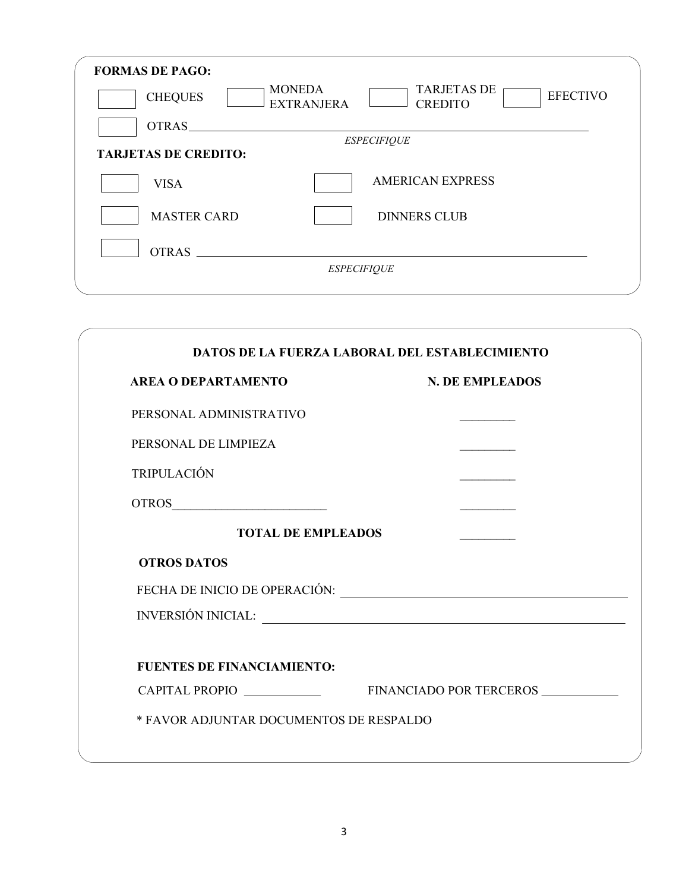| <b>FORMAS DE PAGO:</b>      |                                                                                               |
|-----------------------------|-----------------------------------------------------------------------------------------------|
| <b>CHEQUES</b>              | <b>MONEDA</b><br><b>TARJETAS DE</b><br><b>EFECTIVO</b><br><b>CREDITO</b><br><b>EXTRANJERA</b> |
| OTRAS.                      |                                                                                               |
|                             | <b>ESPECIFIQUE</b>                                                                            |
| <b>TARJETAS DE CREDITO:</b> |                                                                                               |
| <b>VISA</b>                 | <b>AMERICAN EXPRESS</b>                                                                       |
| <b>MASTER CARD</b>          | <b>DINNERS CLUB</b>                                                                           |
| <b>OTRAS</b>                |                                                                                               |
|                             | <b>ESPECIFIQUE</b>                                                                            |
|                             |                                                                                               |

| <b>AREA O DEPARTAMENTO</b>        | <b>N. DE EMPLEADOS</b> |
|-----------------------------------|------------------------|
| PERSONAL ADMINISTRATIVO           |                        |
| PERSONAL DE LIMPIEZA              |                        |
| <b>TRIPULACIÓN</b>                |                        |
| OTROS                             |                        |
| <b>TOTAL DE EMPLEADOS</b>         |                        |
| <b>OTROS DATOS</b>                |                        |
|                                   |                        |
| INVERSIÓN INICIAL:                |                        |
| <b>FUENTES DE FINANCIAMIENTO:</b> |                        |
|                                   |                        |